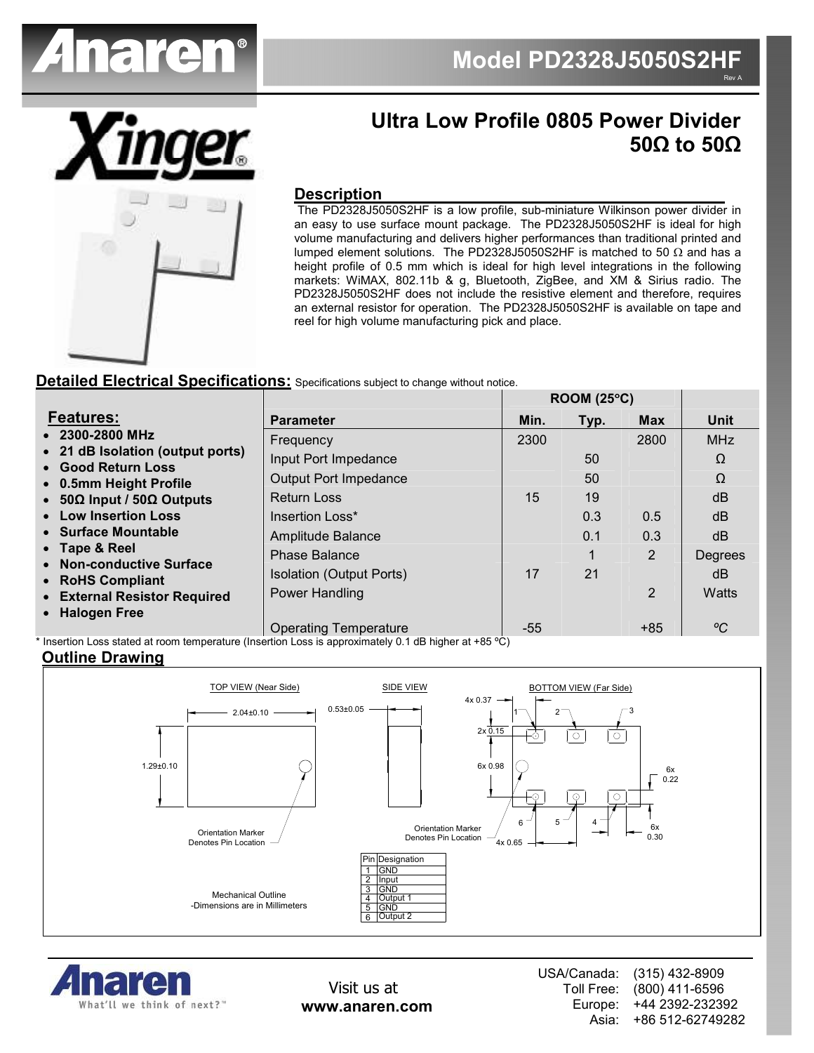



# Ultra Low Profile 0805 Power Divider 50Ω to 50Ω

#### **Description**

 The PD2328J5050S2HF is a low profile, sub-miniature Wilkinson power divider in an easy to use surface mount package. The PD2328J5050S2HF is ideal for high volume manufacturing and delivers higher performances than traditional printed and lumped element solutions. The PD2328J5050S2HF is matched to 50 Ω and has a height profile of 0.5 mm which is ideal for high level integrations in the following markets: WiMAX, 802.11b & g, Bluetooth, ZigBee, and XM & Sirius radio. The PD2328J5050S2HF does not include the resistive element and therefore, requires an external resistor for operation. The PD2328J5050S2HF is available on tape and reel for high volume manufacturing pick and place.

#### Detailed Electrical Specifications: Specifications subject to change without notice.

|                                                                                                                                                |                                 | <b>ROOM (25°C)</b> |      |            |            |
|------------------------------------------------------------------------------------------------------------------------------------------------|---------------------------------|--------------------|------|------------|------------|
| <b>Features:</b>                                                                                                                               | <b>Parameter</b>                | Min.               | Typ. | <b>Max</b> | Unit       |
| • 2300-2800 MHz<br>• 21 dB Isolation (output ports)<br>• Good Return Loss<br>• 0.5mm Height Profile<br>• $50\Omega$ Input / $50\Omega$ Outputs | Frequency                       | 2300               |      | 2800       | <b>MHz</b> |
|                                                                                                                                                | Input Port Impedance            |                    | 50   |            | Ω          |
|                                                                                                                                                | <b>Output Port Impedance</b>    |                    | 50   |            | Ω          |
|                                                                                                                                                | <b>Return Loss</b>              | 15                 | 19   |            | dB         |
| • Low Insertion Loss                                                                                                                           | Insertion Loss*                 |                    | 0.3  | 0.5        | dB         |
| • Surface Mountable                                                                                                                            | Amplitude Balance               |                    | 0.1  | 0.3        | dB         |
| • Tape & Reel                                                                                                                                  | Phase Balance                   |                    |      | 2          | Degrees    |
| • Non-conductive Surface<br>• RoHS Compliant                                                                                                   | <b>Isolation (Output Ports)</b> | 17                 | 21   |            | dB         |
| • External Resistor Required                                                                                                                   | Power Handling                  |                    |      | 2          | Watts      |
| • Halogen Free                                                                                                                                 |                                 |                    |      |            |            |
|                                                                                                                                                | <b>Operating Temperature</b>    | $-55$              |      | $+85$      | °C         |

\* Insertion Loss stated at room temperature (Insertion Loss is approximately 0.1 dB higher at +85 ºC)

#### Outline Drawing





Visit us at www.anaren.com USA/Canada: Toll Free: Europe: Asia: (315) 432-8909 (800) 411-6596 +44 2392-232392 +86 512-62749282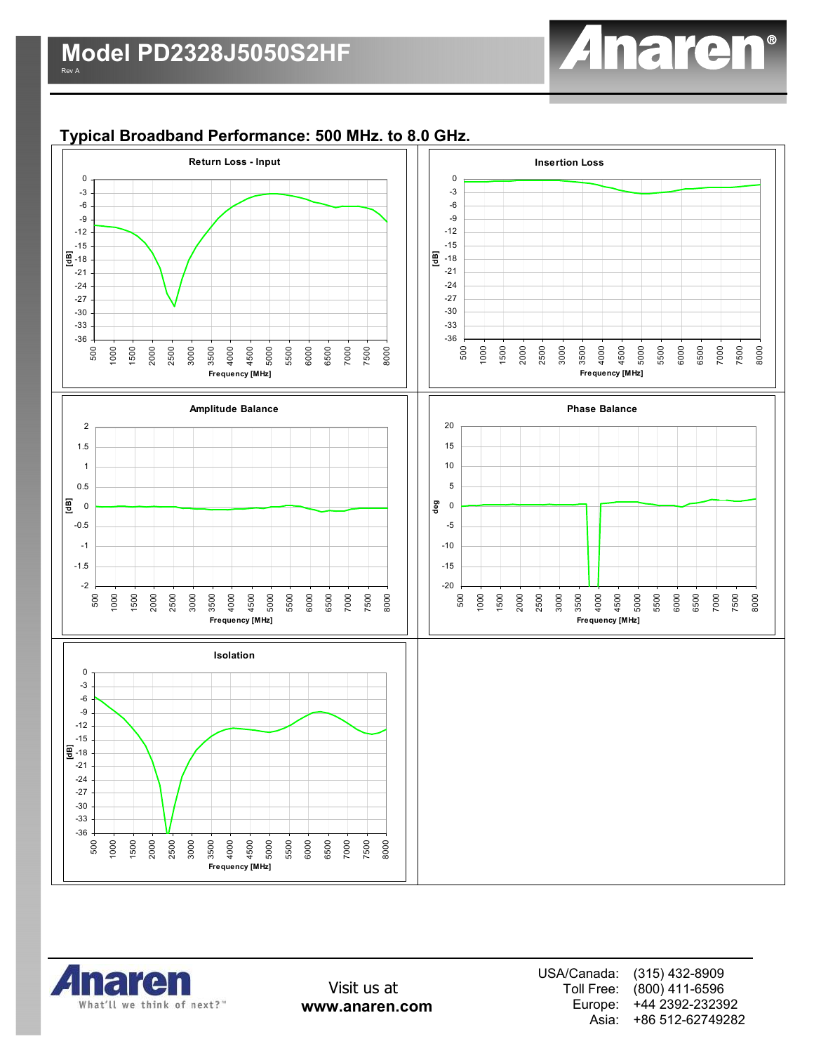

# Typical Broadband Performance: 500 MHz. to 8.0 GHz.





Visit us at www.anaren.com USA/Canada: Toll Free: Europe: Asia: (315) 432-8909 (800) 411-6596 +44 2392-232392 +86 512-62749282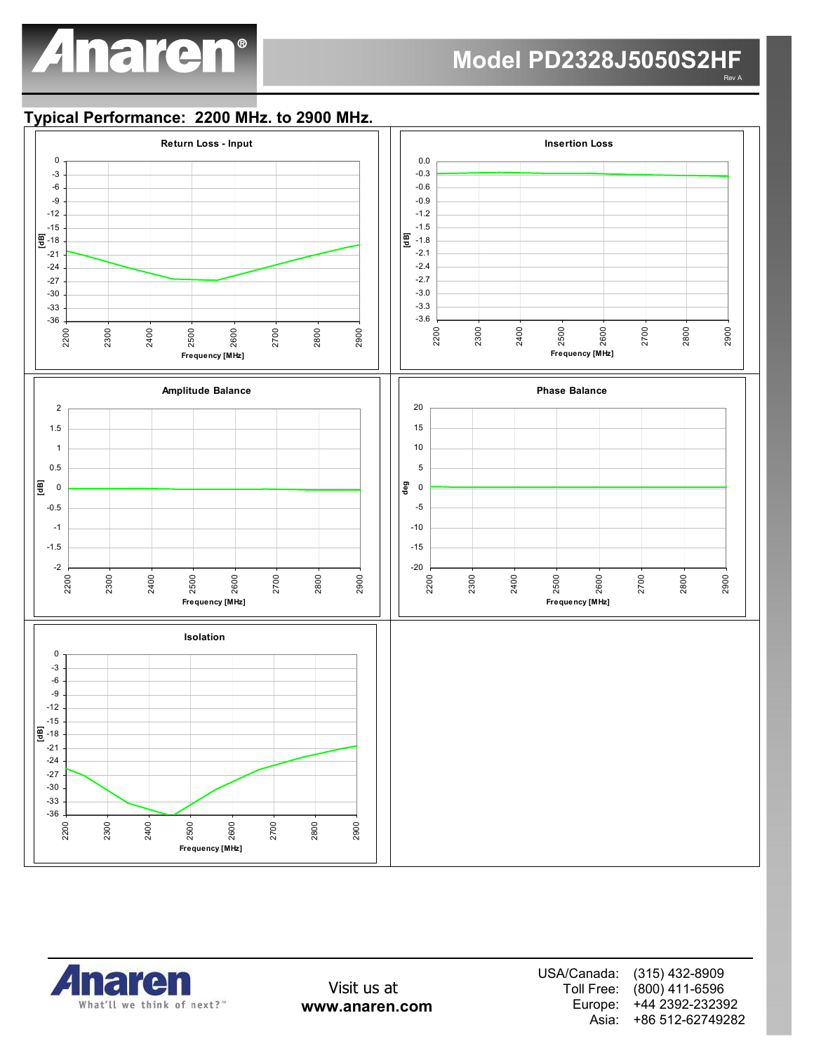

### Model PD2328J5050S2HF Rev A

## Typical Performance: 2200 MHz. to 2900 MHz.



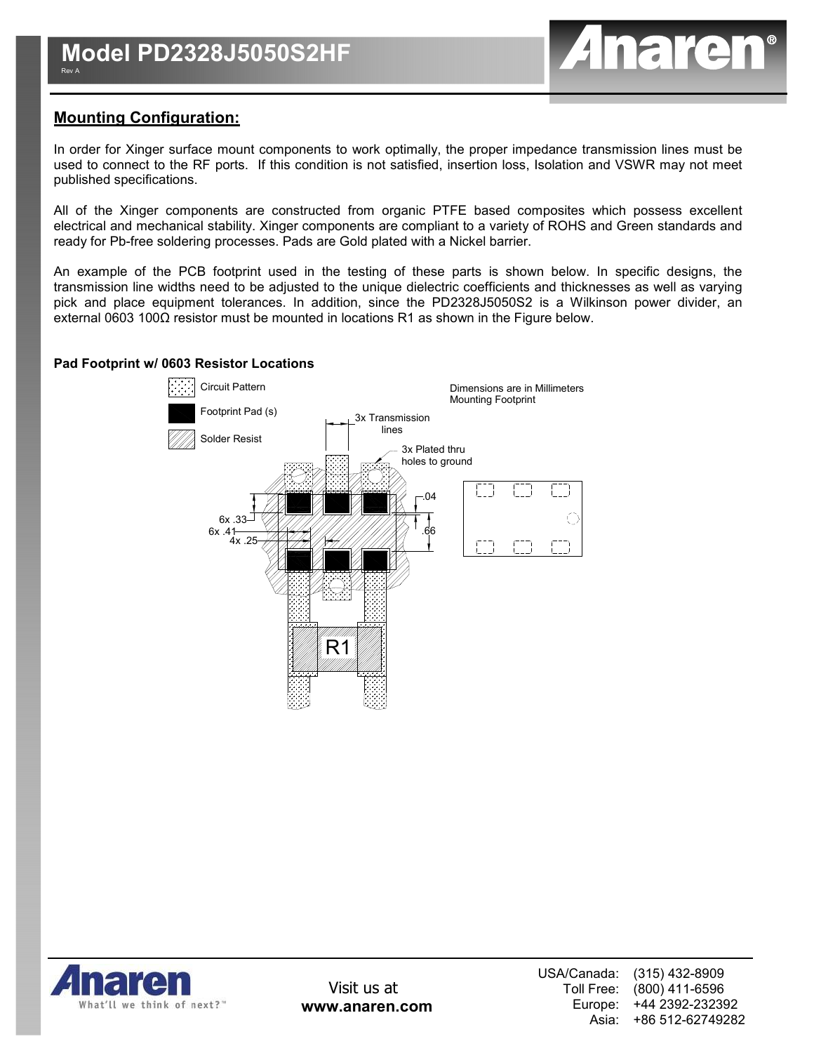

# Mounting Configuration:

In order for Xinger surface mount components to work optimally, the proper impedance transmission lines must be used to connect to the RF ports. If this condition is not satisfied, insertion loss, Isolation and VSWR may not meet published specifications.

All of the Xinger components are constructed from organic PTFE based composites which possess excellent electrical and mechanical stability. Xinger components are compliant to a variety of ROHS and Green standards and ready for Pb-free soldering processes. Pads are Gold plated with a Nickel barrier.

An example of the PCB footprint used in the testing of these parts is shown below. In specific designs, the transmission line widths need to be adjusted to the unique dielectric coefficients and thicknesses as well as varying pick and place equipment tolerances. In addition, since the PD2328J5050S2 is a Wilkinson power divider, an external 0603 100Ω resistor must be mounted in locations R1 as shown in the Figure below.

#### Pad Footprint w/ 0603 Resistor Locations



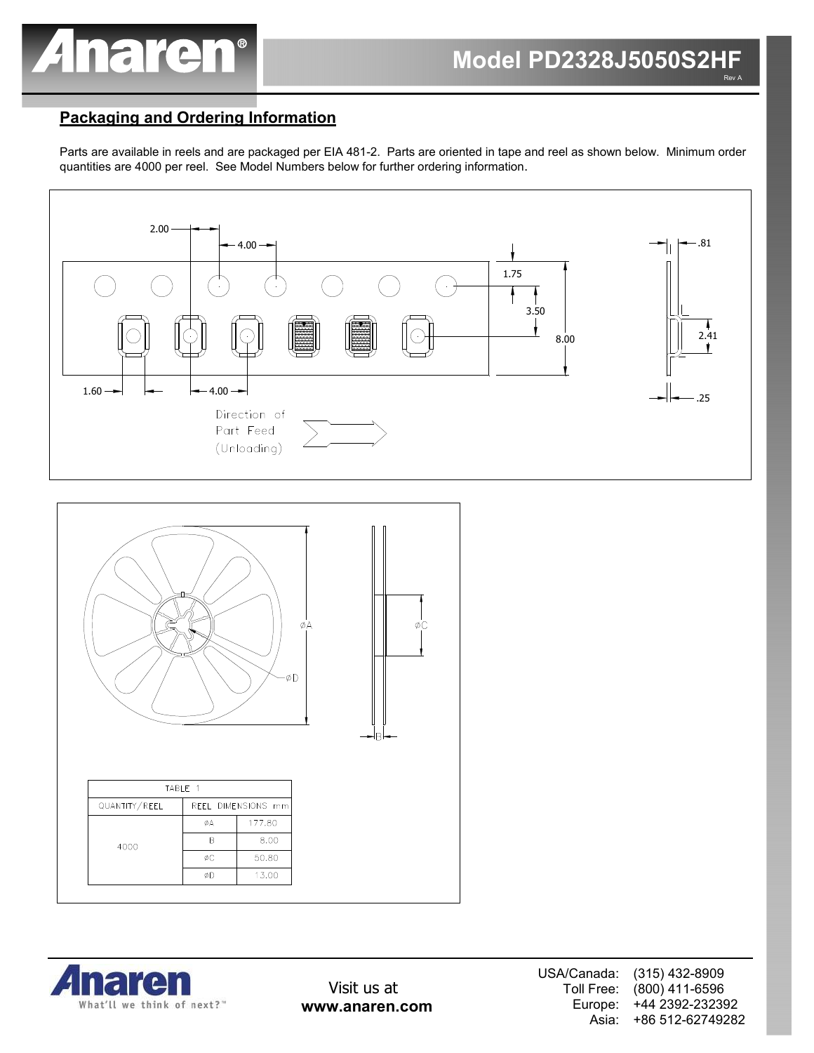

# Packaging and Ordering Information

Parts are available in reels and are packaged per EIA 481-2. Parts are oriented in tape and reel as shown below. Minimum order quantities are 4000 per reel. See Model Numbers below for further ordering information.





|      | TABIF 1       |    |                    |  |  |  |
|------|---------------|----|--------------------|--|--|--|
|      | QUANTITY/REEL |    | REEL DIMENSIONS mm |  |  |  |
| 4000 |               | ØΑ | 177.80             |  |  |  |
|      |               |    | 8.00               |  |  |  |
|      |               | ØC | 50.80              |  |  |  |
|      |               | ØD | 13.00              |  |  |  |
|      |               |    |                    |  |  |  |



Visit us at www.anaren.com USA/Canada: Toll Free: Europe: Asia: (315) 432-8909 (800) 411-6596 +44 2392-232392 +86 512-62749282